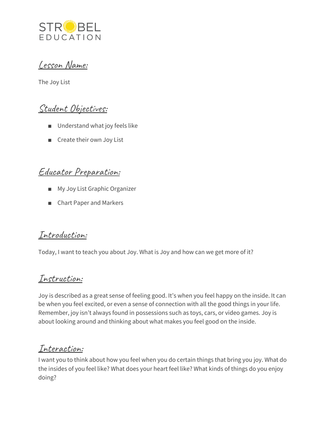

### Lesson Name:

The Joy List

# Student Objectives:

- Understand what joy feels like
- Create their own Joy List

## Educator Preparation:

- My Joy List Graphic Organizer
- Chart Paper and Markers

#### Introduction:

Today, I want to teach you about Joy. What is Joy and how can we get more of it?

### Instruction:

Joy is described as a great sense of feeling good. It's when you feel happy on the inside. It can be when you feel excited, or even a sense of connection with all the good things in your life. Remember, joy isn't always found in possessions such as toys, cars, or video games. Joy is about looking around and thinking about what makes you feel good on the inside.

## Interaction:

I want you to think about how you feel when you do certain things that bring you joy. What do the insides of you feel like? What does your heart feel like? What kinds of things do you enjoy doing?